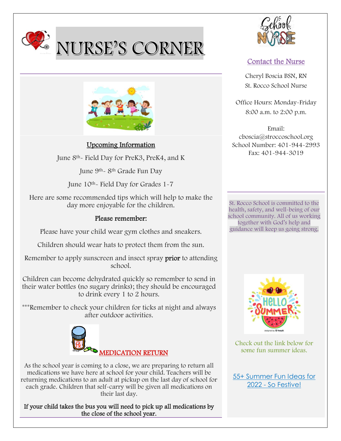

# NURSE'S CORNER



### Upcoming Information

June 8th- Field Day for PreK3, PreK4, and K

June 9th- 8th Grade Fun Day

June 10th- Field Day for Grades 1-7

Here are some recommended tips which will help to make the day more enjoyable for the children.

## Please remember:

Please have your child wear gym clothes and sneakers.

Children should wear hats to protect them from the sun.

Remember to apply sunscreen and insect spray **prior** to attending school.

Children can become dehydrated quickly so remember to send in their water bottles (no sugary drinks); they should be encouraged to drink every 1 to 2 hours.

\*\*\*Remember to check your children for ticks at night and always after outdoor activities.



As the school year is coming to a close, we are preparing to return all medications we have here at school for your child. Teachers will be returning medications to an adult at pickup on the last day of school for each grade. Children that self-carry will be given all medications on their last day.

If your child takes the bus you will need to pick up all medications by the close of the school year.



# Contact the Nurse

Cheryl Boscia BSN, RN St. Rocco School Nurse

Office Hours: Monday-Friday 8:00 a.m. to 2:00 p.m.

Email: cboscia@stroccoschool.org School Number: 401-944-2993 Fax: 401-944-3019

St. Rocco School is committed to the health, safety, and well-being of our school community. All of us working together with God's help and guidance will keep us going strong.



Check out the link below for some fun summer ideas.

[55+ Summer Fun Ideas for](https://sofestive.com/2021/03/02/summer-fun-ideas/)  2022 - [So Festive!](https://sofestive.com/2021/03/02/summer-fun-ideas/)